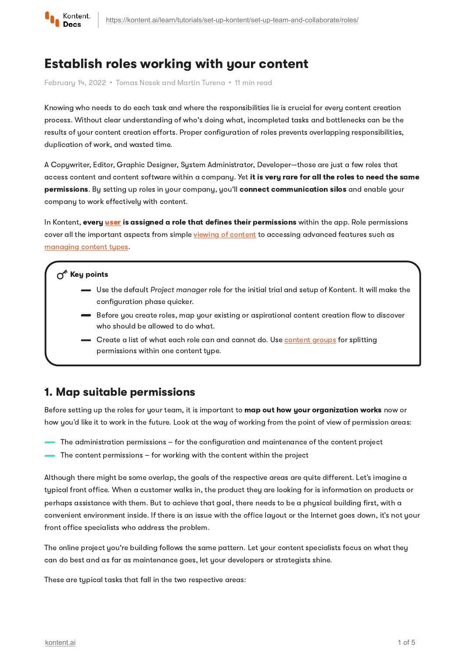

# Establish roles working with your content

February 14, 2022 · Tomas Nosek and Martin Turena · 11 min read

Knowing who needs to do each task and where the responsibilities lie is crucial for every content creation process. Without clear understanding of who's doing what, incompleted tasks and bottlenecks can be the results of your content creation efforts. Proper configuration of roles prevents overlapping responsibilities, duplication of work, and wasted time.

A Copywriter, Editor, Graphic Designer, System Administrator, Developer—those are just a few roles that access content and content software within a company. Yet it is very rare for all the roles to need the same permissions. By setting up roles in your company, you'll connect communication silos and enable your company to work effectively with content.

In Kontent, every [user](https://kontent.ai/learn/tutorials/manage-kontent/users/invite-and-deactivate-users/) is assigned a role that defines their permissions within the app. Role permissions cover all the important aspects from simple viewing of [content](https://kontent.ai/learn/tutorials/write-and-collaborate/get-right-people-on-right-content/find-your-content/) to accessing advanced features such as [managing](https://kontent.ai/learn/tutorials/manage-kontent/content-modeling/create-and-delete-content-types/) content types.

### $\sigma^{\prime}$  Key points

- Use the default Project manager role for the initial trial and setup of Kontent. It will make the configuration phase quicker.
- Before you create roles, map your existing or aspirational content creation flow to discover who should be allowed to do what.
- Create a list of what each role can and cannot do. Use [content](https://kontent.ai/learn/tutorials/manage-kontent/content-modeling/organize-elements-with-content-groups/) groups for splitting permissions within one content type.

### 1. Map suitable permissions

Before setting up the roles for your team, it is important to **map out how your organization works** now or how you'd like it to work in the future. Look at the way of working from the point of view of permission areas:

- The administration permissions for the configuration and maintenance of the content project
- The content permissions for working with the content within the project

Although there might be some overlap, the goals of the respective areas are quite different. Let's imagine a typical front office. When a customer walks in, the product they are looking for is information on products or perhaps assistance with them. But to achieve that goal, there needs to be a physical building first, with a convenient environment inside. If there is an issue with the office layout or the Internet goes down, it's not your front office specialists who address the problem.

The online project you're building follows the same pattern. Let your content specialists focus on what they can do best and as far as maintenance goes, let your developers or strategists shine.

These are typical tasks that fall in the two respective areas: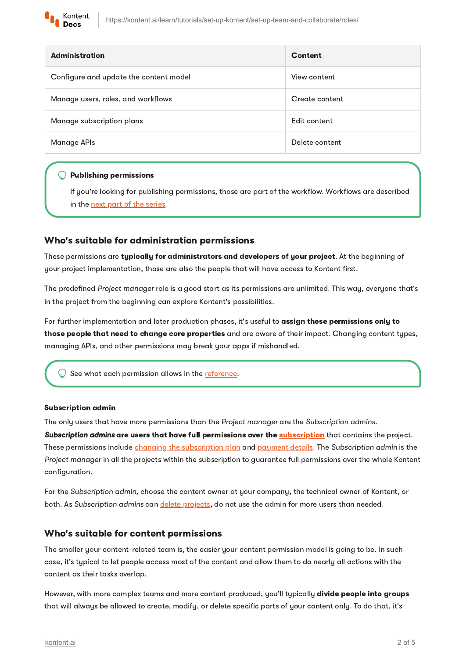

| <b>Administration</b>                  | Content        |
|----------------------------------------|----------------|
| Configure and update the content model | View content   |
| Manage users, roles, and workflows     | Create content |
| Manage subscription plans              | Edit content   |
| Manage APIs                            | Delete content |

#### **Publishing permissions**

If you're looking for publishing permissions, those are part of the workflow. Workflows are described in the next part of the [series.](https://kontent.ai/learn/tutorials/set-up-kontent/set-up-team-and-collaborate/workflows/)

#### Who's suitable for administration permissions

These permissions are typically for administrators and developers of your project. At the beginning of your project implementation, those are also the people that will have access to Kontent first.

The predefined Project manager role is a good start as its permissions are unlimited. This way, everyone that's in the project from the beginning can explore Kontent's possibilities.

For further implementation and later production phases, it's useful to assign these permissions only to those people that need to change core properties and are aware of their impact. Changing content types, managing APIs, and other permissions may break your apps if mishandled.

See what each permission allows in the [reference.](https://kontent.ai/learn/tutorials/manage-kontent/roles-and-workflow/permission-reference/)

#### Subscription admin

The only users that have more permissions than the Project manager are the Subscription admins.

Subscription admins are users that have full permissions over the *[subscription](https://kontent.ai/learn/tutorials/manage-kontent/subscriptions/manage-subscriptions/)* that contains the project. These permissions include *changing the [subscription](https://kontent.ai/learn/tutorials/manage-kontent/subscriptions/manage-subscriptions/#a-change-subscription-plan) plan and [payment](https://kontent.ai/learn/tutorials/manage-kontent/subscriptions/payments/) details*. The Subscription admin is the Project manager in all the projects within the subscription to guarantee full permissions over the whole Kontent configuration.

For the Subscription admin, choose the content owner at your company, the technical owner of Kontent, or both. As Subscription admins can *delete projects*, do not use the admin for more users than needed.

#### Who's suitable for content permissions

The smaller your content-related team is, the easier your content permission model is going to be. In such case, it's typical to let people access most of the content and allow them to do nearly all actions with the content as their tasks overlap.

However, with more complex teams and more content produced, you'll typically divide people into groups that will always be allowed to create, modify, or delete specific parts of your content only. To do that, it's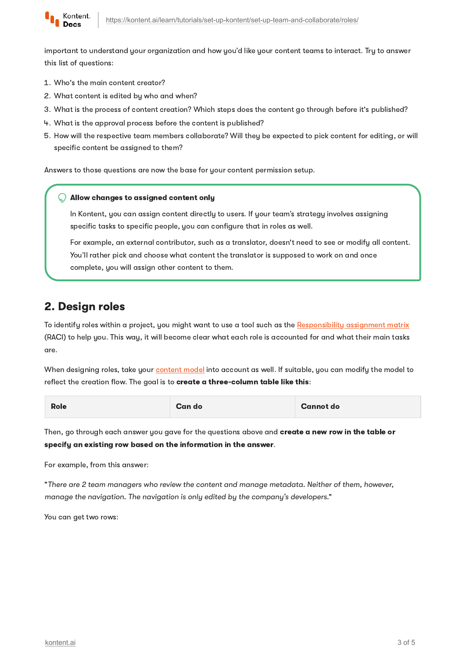

important to understand your organization and how you'd like your content teams to interact. Try to answer this list of questions:

- 1. Who's the main content creator?
- 2. What content is edited by who and when?
- What is the process of content creation? Which steps does the content go through before it's published?
- 4 What is the approval process before the content is published?
- 5. How will the respective team members collaborate? Will they be expected to pick content for editing, or will specific content be assigned to them?

Answers to those questions are now the base for your content permission setup.

#### Allow changes to assigned content only

In Kontent, you can assign content directly to users. If your team's strategy involves assigning specific tasks to specific people, you can configure that in roles as well.

For example, an external contributor, such as a translator, doesn't need to see or modify all content. You'll rather pick and choose what content the translator is supposed to work on and once complete, you will assign other content to them.

## 2. Design roles

To identify roles within a project, you might want to use a tool such as the [Responsibility](https://en.wikipedia.org/wiki/Responsibility_assignment_matrix) assignment matrix (RACI) to help you. This way, it will become clear what each role is accounted for and what their main tasks are.

When designing roles, take your [content](https://kontent.ai/learn/tutorials/set-up-kontent/content-modeling/what-is-content-modeling/) model into account as well. If suitable, you can modify the model to reflect the creation flow. The goal is to create a three-column table like this:

| <b>Role</b> | Can do | <b>Cannot do</b> |
|-------------|--------|------------------|
|-------------|--------|------------------|

Then, go through each answer you gave for the questions above and create a new row in the table or specify an existing row based on the information in the answer.

For example, from this answer:

"There are 2 team managers who review the content and manage metadata. Neither of them, however, manage the navigation. The navigation is only edited by the company's developers."

You can get two rows: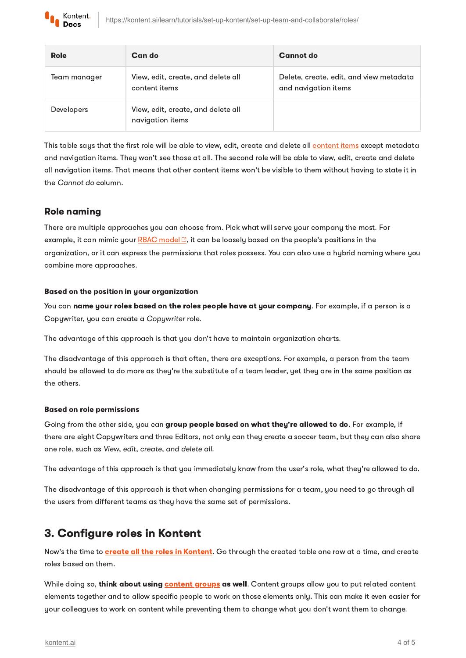

| Role              | Can do                                                 | Cannot do                                                       |
|-------------------|--------------------------------------------------------|-----------------------------------------------------------------|
| Team manager      | View, edit, create, and delete all<br>content items    | Delete, create, edit, and view metadata<br>and navigation items |
| <b>Developers</b> | View, edit, create, and delete all<br>navigation items |                                                                 |

This table says that the first role will be able to view, edit, create and delete all [content](https://kontent.ai/learn/tutorials/write-and-collaborate/create-content/introducing-content-items/) items except metadata and navigation items. They won't see those at all. The second role will be able to view, edit, create and delete all navigation items. That means that other content items won't be visible to them without having to state it in the Cannot do column.

### Role naming

There are multiple approaches you can choose from. Pick what will serve your company the most. For example, it can mimic your RBAC [model](https://en.wikipedia.org/wiki/Role-based_access_control)  $\mathbb{C}$ , it can be loosely based on the people's positions in the organization, or it can express the permissions that roles possess. You can also use a hybrid naming where you combine more approaches.

#### Based on the position in your organization

You can name your roles based on the roles people have at your company. For example, if a person is a Copywriter, you can create a Copywriter role.

The advantage of this approach is that you don't have to maintain organization charts.

The disadvantage of this approach is that often, there are exceptions. For example, a person from the team should be allowed to do more as they're the substitute of a team leader, yet they are in the same position as the others.

#### Based on role permissions

Going from the other side, you can group people based on what they're allowed to do. For example, if there are eight Copywriters and three Editors, not only can they create a soccer team, but they can also share one role, such as View, edit, create, and delete all.

The advantage of this approach is that you immediately know from the user's role, what they're allowed to do.

The disadvantage of this approach is that when changing permissions for a team, you need to go through all the users from different teams as they have the same set of permissions.

## 3. Configure roles in Kontent

Now's the time to **create all the roles in Kontent**. Go through the created table one row at a time, and create roles based on them.

While doing so, think about using **[content](https://kontent.ai/learn/tutorials/manage-kontent/content-modeling/organize-elements-with-content-groups/) groups** as well. Content groups allow you to put related content elements together and to allow specific people to work on those elements only. This can make it even easier for your colleagues to work on content while preventing them to change what you don't want them to change.